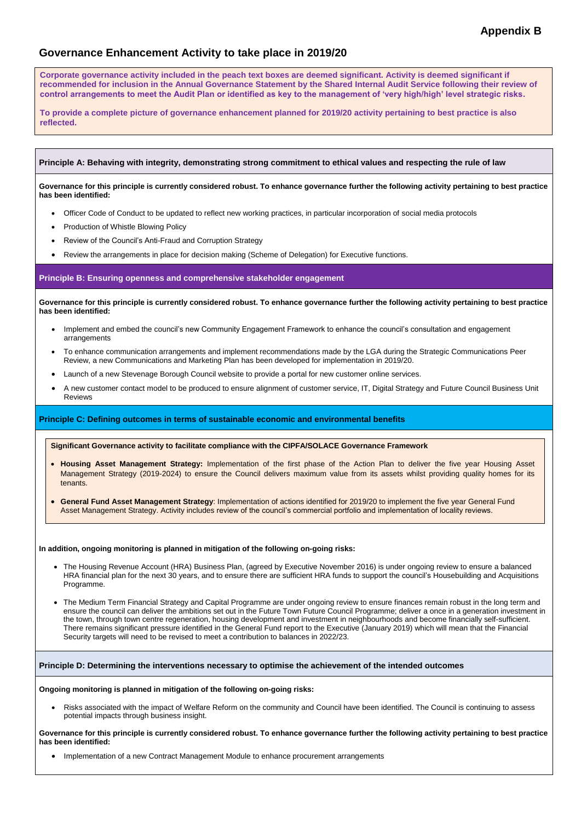# **Governance Enhancement Activity to take place in 2019/20**

## **Principle A: Behaving with integrity, demonstrating strong commitment to ethical values and respecting the rule of law**

**Governance for this principle is currently considered robust. To enhance governance further the following activity pertaining to best practice has been identified:**

- Officer Code of Conduct to be updated to reflect new working practices, in particular incorporation of social media protocols
- Production of Whistle Blowing Policy
- Review of the Council's Anti-Fraud and Corruption Strategy
- Review the arrangements in place for decision making (Scheme of Delegation) for Executive functions.

### **Principle B: Ensuring openness and comprehensive stakeholder engagement**

**Governance for this principle is currently considered robust. To enhance governance further the following activity pertaining to best practice has been identified:**

- Implement and embed the council's new Community Engagement Framework to enhance the council's consultation and engagement arrangements
- To enhance communication arrangements and implement recommendations made by the LGA during the Strategic Communications Peer Review, a new Communications and Marketing Plan has been developed for implementation in 2019/20.
- Launch of a new Stevenage Borough Council website to provide a portal for new customer online services.
- A new customer contact model to be produced to ensure alignment of customer service, IT, Digital Strategy and Future Council Business Unit Reviews

### **Principle C: Defining outcomes in terms of sustainable economic and environmental benefits**

#### **In addition, ongoing monitoring is planned in mitigation of the following on-going risks:**

- The Housing Revenue Account (HRA) Business Plan, (agreed by Executive November 2016) is under ongoing review to ensure a balanced HRA financial plan for the next 30 years, and to ensure there are sufficient HRA funds to support the council's Housebuilding and Acquisitions Programme.
- The Medium Term Financial Strategy and Capital Programme are under ongoing review to ensure finances remain robust in the long term and ensure the council can deliver the ambitions set out in the Future Town Future Council Programme; deliver a once in a generation investment in the town, through town centre regeneration, housing development and investment in neighbourhoods and become financially self-sufficient.

There remains significant pressure identified in the General Fund report to the Executive (January 2019) which will mean that the Financial Security targets will need to be revised to meet a contribution to balances in 2022/23.

**Principle D: Determining the interventions necessary to optimise the achievement of the intended outcomes**

#### **Ongoing monitoring is planned in mitigation of the following on-going risks:**

 Risks associated with the impact of Welfare Reform on the community and Council have been identified. The Council is continuing to assess potential impacts through business insight.

**Governance for this principle is currently considered robust. To enhance governance further the following activity pertaining to best practice has been identified:**

Implementation of a new Contract Management Module to enhance procurement arrangements

**Significant Governance activity to facilitate compliance with the CIPFA/SOLACE Governance Framework**

- **Housing Asset Management Strategy:** Implementation of the first phase of the Action Plan to deliver the five year Housing Asset Management Strategy (2019-2024) to ensure the Council delivers maximum value from its assets whilst providing quality homes for its tenants.
- **General Fund Asset Management Strategy**: Implementation of actions identified for 2019/20 to implement the five year General Fund Asset Management Strategy. Activity includes review of the council's commercial portfolio and implementation of locality reviews.

**Corporate governance activity included in the peach text boxes are deemed significant. Activity is deemed significant if recommended for inclusion in the Annual Governance Statement by the Shared Internal Audit Service following their review of control arrangements to meet the Audit Plan or identified as key to the management of 'very high/high' level strategic risks.**

**To provide a complete picture of governance enhancement planned for 2019/20 activity pertaining to best practice is also reflected.**